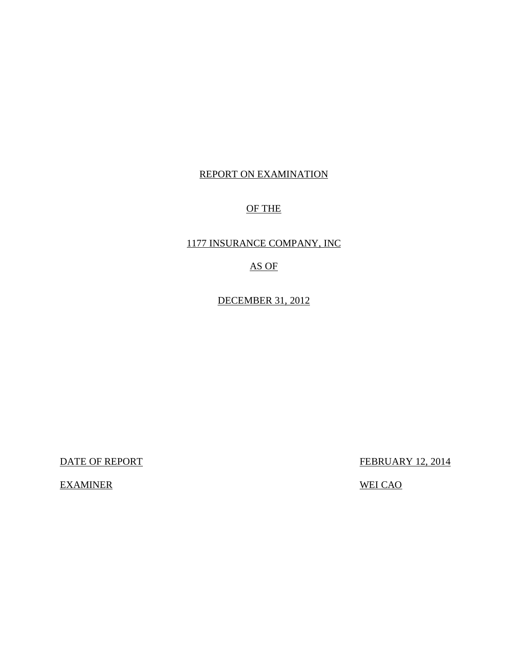## REPORT ON EXAMINATION

## OF THE

## 1177 INSURANCE COMPANY, INC

## AS OF

DECEMBER 31, 2012

DATE OF REPORT FEBRUARY 12, 2014

EXAMINER WEI CAO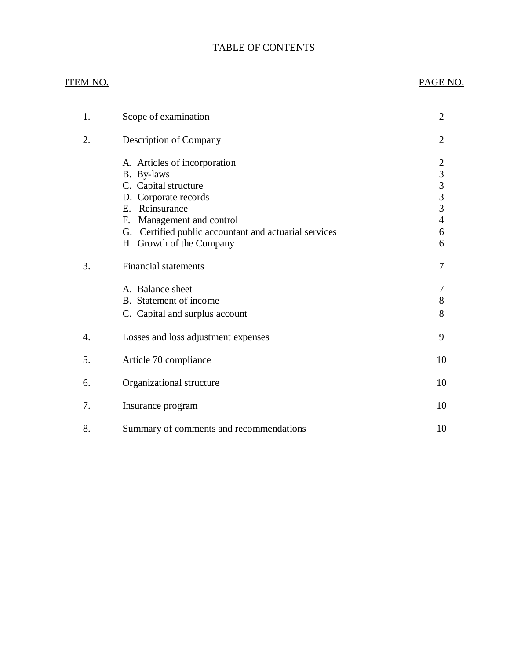## TABLE OF CONTENTS

## ITEM NO. PAGE NO.

| 1. | Scope of examination                                                                                                                                                                                                              | 2                                                                                             |
|----|-----------------------------------------------------------------------------------------------------------------------------------------------------------------------------------------------------------------------------------|-----------------------------------------------------------------------------------------------|
| 2. | Description of Company                                                                                                                                                                                                            | $\overline{2}$                                                                                |
|    | A. Articles of incorporation<br>B. By-laws<br>C. Capital structure<br>D. Corporate records<br>E. Reinsurance<br>Management and control<br>F.<br>G. Certified public accountant and actuarial services<br>H. Growth of the Company | $\overline{c}$<br>$\begin{array}{c} 3 \\ 3 \\ 3 \\ 3 \end{array}$<br>$\overline{4}$<br>6<br>6 |
| 3. | <b>Financial statements</b>                                                                                                                                                                                                       | 7                                                                                             |
|    | A. Balance sheet<br>B. Statement of income<br>C. Capital and surplus account                                                                                                                                                      | 7<br>8<br>8                                                                                   |
| 4. | Losses and loss adjustment expenses                                                                                                                                                                                               | 9                                                                                             |
| 5. | Article 70 compliance                                                                                                                                                                                                             | 10                                                                                            |
| 6. | Organizational structure                                                                                                                                                                                                          | 10                                                                                            |
| 7. | Insurance program                                                                                                                                                                                                                 | 10                                                                                            |
| 8. | Summary of comments and recommendations                                                                                                                                                                                           | 10                                                                                            |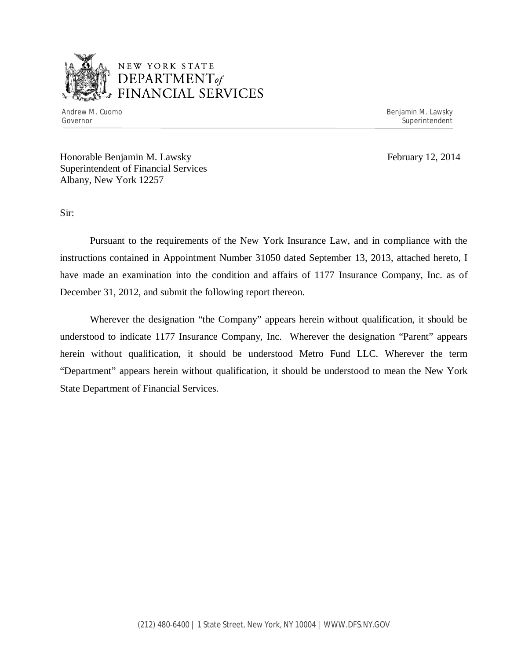

## NEW YORK STATE *DEPARTMENTof*  FINANCIAL SERVICES

Andrew M. Cuomo **Benjamin M. Lawsky** Governor Superintendent Superintendent Superintendent Superintendent Superintendent Superintendent Superintendent

Honorable Benjamin M. Lawsky February 12, 2014 Superintendent of Financial Services Albany, New York 12257

Sir:

Pursuant to the requirements of the New York Insurance Law, and in compliance with the instructions contained in Appointment Number 31050 dated September 13, 2013, attached hereto, I have made an examination into the condition and affairs of 1177 Insurance Company, Inc. as of December 31, 2012, and submit the following report thereon.

Wherever the designation "the Company" appears herein without qualification, it should be understood to indicate 1177 Insurance Company, Inc. Wherever the designation "Parent" appears herein without qualification, it should be understood Metro Fund LLC. Wherever the term "Department" appears herein without qualification, it should be understood to mean the New York State Department of Financial Services.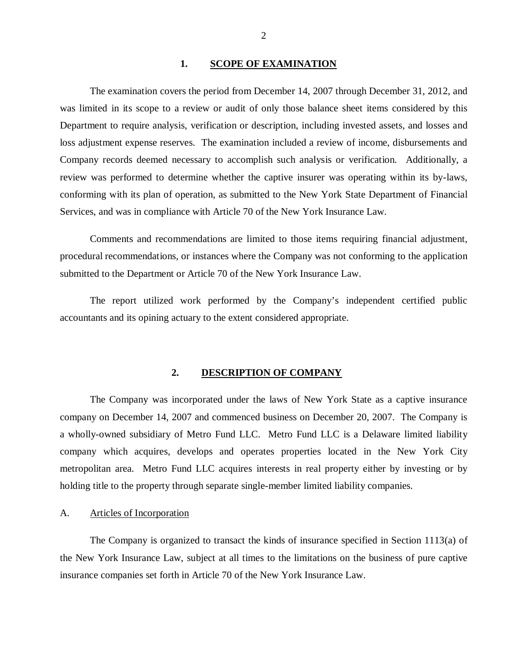#### 1. SCOPE OF EXAMINATION

<span id="page-3-0"></span>The examination covers the period from December 14, 2007 through December 31, 2012, and was limited in its scope to a review or audit of only those balance sheet items considered by this Department to require analysis, verification or description, including invested assets, and losses and loss adjustment expense reserves. The examination included a review of income, disbursements and Company records deemed necessary to accomplish such analysis or verification. Additionally, a review was performed to determine whether the captive insurer was operating within its by-laws, conforming with its plan of operation, as submitted to the New York State Department of Financial Services, and was in compliance with Article 70 of the New York Insurance Law.

Comments and recommendations are limited to those items requiring financial adjustment, procedural recommendations, or instances where the Company was not conforming to the application submitted to the Department or Article 70 of the New York Insurance Law.

The report utilized work performed by the Company's independent certified public accountants and its opining actuary to the extent considered appropriate.

#### **2. DESCRIPTION OF COMPANY**

The Company was incorporated under the laws of New York State as a captive insurance company on December 14, 2007 and commenced business on December 20, 2007. The Company is a wholly-owned subsidiary of Metro Fund LLC. Metro Fund LLC is a Delaware limited liability company which acquires, develops and operates properties located in the New York City metropolitan area. Metro Fund LLC acquires interests in real property either by investing or by holding title to the property through separate single-member limited liability companies.

## A. Articles of Incorporation

The Company is organized to transact the kinds of insurance specified in Section 1113(a) of the New York Insurance Law, subject at all times to the limitations on the business of pure captive insurance companies set forth in Article 70 of the New York Insurance Law.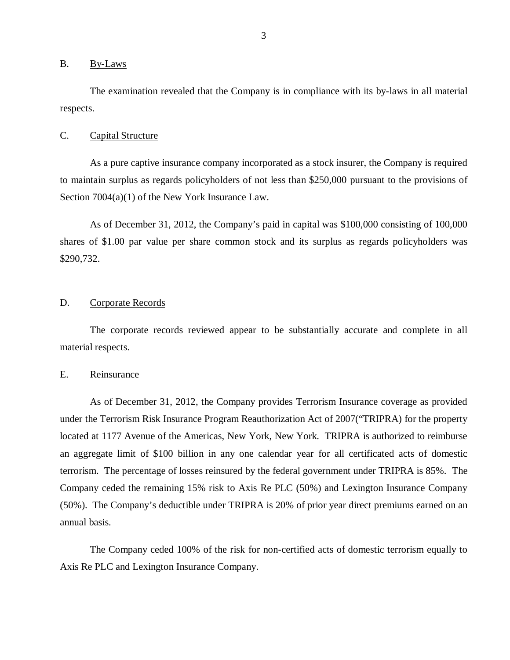#### <span id="page-4-0"></span>B. By-Laws

The examination revealed that the Company is in compliance with its by-laws in all material respects.

#### C. Capital Structure

As a pure captive insurance company incorporated as a stock insurer, the Company is required to maintain surplus as regards policyholders of not less than \$250,000 pursuant to the provisions of Section 7004(a)(1) of the New York Insurance Law.

As of December 31, 2012, the Company's paid in capital was \$100,000 consisting of 100,000 shares of \$1.00 par value per share common stock and its surplus as regards policyholders was \$290,732.

### D. Corporate Records

The corporate records reviewed appear to be substantially accurate and complete in all material respects.

### E. Reinsurance

As of December 31, 2012, the Company provides Terrorism Insurance coverage as provided under the Terrorism Risk Insurance Program Reauthorization Act of 2007("TRIPRA) for the property located at 1177 Avenue of the Americas, New York, New York. TRIPRA is authorized to reimburse an aggregate limit of \$100 billion in any one calendar year for all certificated acts of domestic terrorism. The percentage of losses reinsured by the federal government under TRIPRA is 85%. The Company ceded the remaining 15% risk to Axis Re PLC (50%) and Lexington Insurance Company (50%). The Company's deductible under TRIPRA is 20% of prior year direct premiums earned on an annual basis.

The Company ceded 100% of the risk for non-certified acts of domestic terrorism equally to Axis Re PLC and Lexington Insurance Company.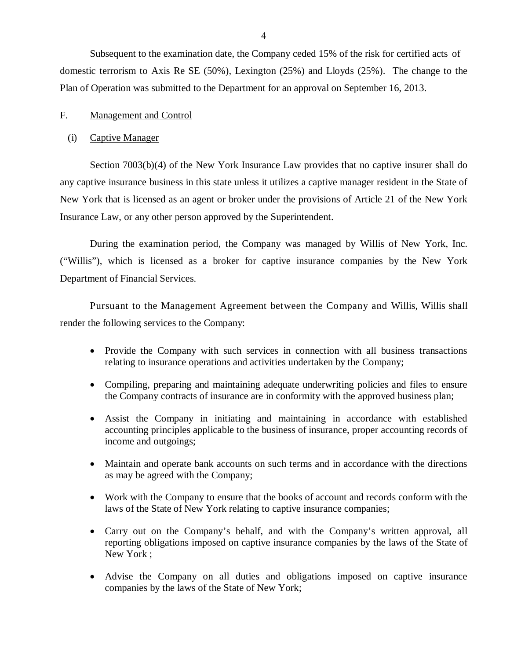<span id="page-5-0"></span>Subsequent to the examination date, the Company ceded 15% of the risk for certified acts of domestic terrorism to Axis Re SE (50%), Lexington (25%) and Lloyds (25%). The change to the Plan of Operation was submitted to the Department for an approval on September 16, 2013.

## F. Management and Control

#### (i) Captive Manager

Section 7003(b)(4) of the New York Insurance Law provides that no captive insurer shall do any captive insurance business in this state unless it utilizes a captive manager resident in the State of New York that is licensed as an agent or broker under the provisions of Article 21 of the New York Insurance Law, or any other person approved by the Superintendent.

During the examination period, the Company was managed by Willis of New York, Inc. ("Willis"), which is licensed as a broker for captive insurance companies by the New York Department of Financial Services.

Pursuant to the Management Agreement between the Company and Willis, Willis shall render the following services to the Company:

- Provide the Company with such services in connection with all business transactions relating to insurance operations and activities undertaken by the Company;
- Compiling, preparing and maintaining adequate underwriting policies and files to ensure the Company contracts of insurance are in conformity with the approved business plan;
- Assist the Company in initiating and maintaining in accordance with established accounting principles applicable to the business of insurance, proper accounting records of income and outgoings;
- Maintain and operate bank accounts on such terms and in accordance with the directions as may be agreed with the Company;
- Work with the Company to ensure that the books of account and records conform with the laws of the State of New York relating to captive insurance companies;
- Carry out on the Company's behalf, and with the Company's written approval, all reporting obligations imposed on captive insurance companies by the laws of the State of New York ;
- Advise the Company on all duties and obligations imposed on captive insurance companies by the laws of the State of New York;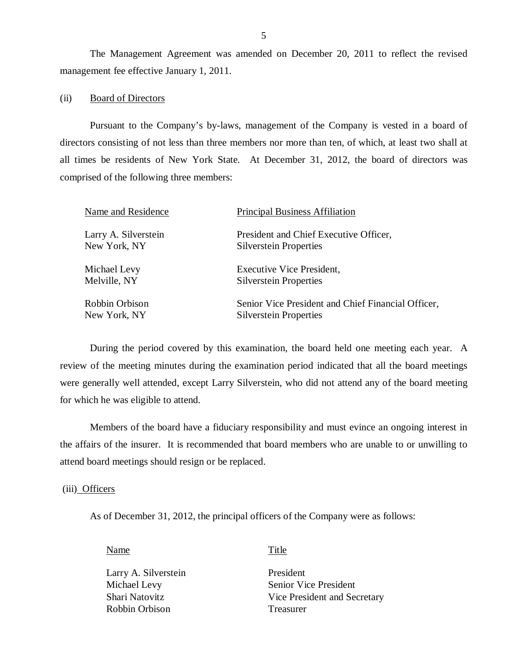The Management Agreement was amended on December 20, 2011 to reflect the revised management fee effective January 1, 2011.

#### (ii) Board of Directors

Pursuant to the Company's by-laws, management of the Company is vested in a board of directors consisting of not less than three members nor more than ten, of which, at least two shall at all times be residents of New York State. At December 31, 2012, the board of directors was comprised of the following three members:

| Name and Residence                   | <b>Principal Business Affiliation</b>                                   |
|--------------------------------------|-------------------------------------------------------------------------|
| Larry A. Silverstein<br>New York, NY | President and Chief Executive Officer,<br><b>Silverstein Properties</b> |
| Michael Levy                         | Executive Vice President,                                               |
| Melville, NY                         | <b>Silverstein Properties</b>                                           |
| Robbin Orbison                       | Senior Vice President and Chief Financial Officer,                      |
| New York, NY                         | <b>Silverstein Properties</b>                                           |

During the period covered by this examination, the board held one meeting each year. A review of the meeting minutes during the examination period indicated that all the board meetings were generally well attended, except Larry Silverstein, who did not attend any of the board meeting for which he was eligible to attend.

Members of the board have a fiduciary responsibility and must evince an ongoing interest in the affairs of the insurer. It is recommended that board members who are unable to or unwilling to attend board meetings should resign or be replaced.

#### (iii) Officers

As of December 31, 2012, the principal officers of the Company were as follows:

Name Title

Larry A. Silverstein Michael Levy Shari Natovitz Robbin Orbison

President Senior Vice President Vice President and Secretary Treasurer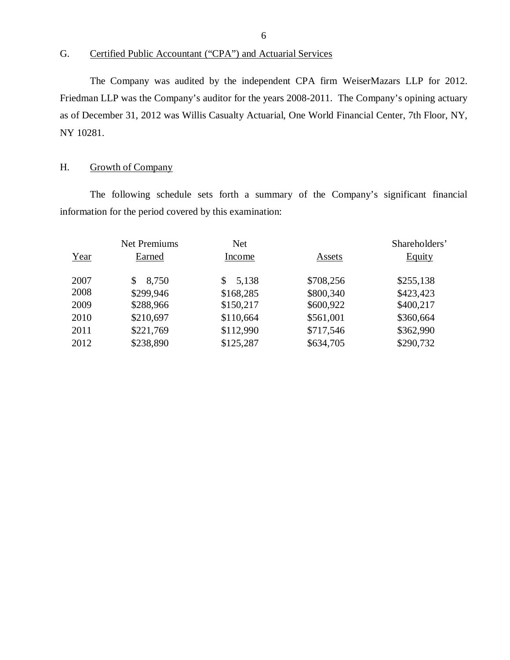G. Certified Public Accountant ("CPA") and Actuarial Services

The Company was audited by the independent CPA firm WeiserMazars LLP for 2012. Friedman LLP was the Company's auditor for the years 2008-2011. The Company's opining actuary as of December 31, 2012 was Willis Casualty Actuarial, One World Financial Center, 7th Floor, NY, NY 10281.

## H. Growth of Company

The following schedule sets forth a summary of the Company's significant financial information for the period covered by this examination:

|      | <b>Net Premiums</b> | <b>Net</b>  |           | Shareholders' |
|------|---------------------|-------------|-----------|---------------|
| Year | Earned              | Income      | Assets    | <b>Equity</b> |
| 2007 | 8,750               | 5,138<br>\$ | \$708,256 | \$255,138     |
| 2008 | \$299,946           | \$168,285   | \$800,340 | \$423,423     |
| 2009 | \$288,966           | \$150,217   | \$600,922 | \$400,217     |
| 2010 | \$210,697           | \$110,664   | \$561,001 | \$360,664     |
| 2011 | \$221,769           | \$112,990   | \$717,546 | \$362,990     |
| 2012 | \$238,890           | \$125,287   | \$634,705 | \$290,732     |
|      |                     |             |           |               |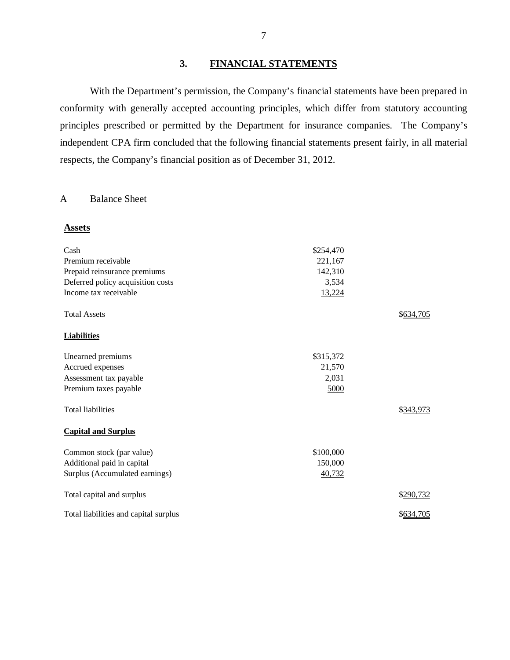## **3. FINANCIAL STATEMENTS**

With the Department's permission, the Company's financial statements have been prepared in conformity with generally accepted accounting principles, which differ from statutory accounting principles prescribed or permitted by the Department for insurance companies. The Company's independent CPA firm concluded that the following financial statements present fairly, in all material respects, the Company's financial position as of December 31, 2012.

## A Balance Sheet

#### **Assets**

| Cash                                  | \$254,470 |           |
|---------------------------------------|-----------|-----------|
| Premium receivable                    | 221,167   |           |
| Prepaid reinsurance premiums          | 142,310   |           |
| Deferred policy acquisition costs     | 3,534     |           |
| Income tax receivable                 | 13,224    |           |
| <b>Total Assets</b>                   |           | \$634,705 |
| <b>Liabilities</b>                    |           |           |
| Unearned premiums                     | \$315,372 |           |
| Accrued expenses                      | 21,570    |           |
| Assessment tax payable                | 2,031     |           |
| Premium taxes payable                 | 5000      |           |
| <b>Total liabilities</b>              |           | \$343,973 |
| <b>Capital and Surplus</b>            |           |           |
| Common stock (par value)              | \$100,000 |           |
| Additional paid in capital            | 150,000   |           |
| Surplus (Accumulated earnings)        | 40,732    |           |
| Total capital and surplus             |           | \$290,732 |
| Total liabilities and capital surplus |           | \$634,705 |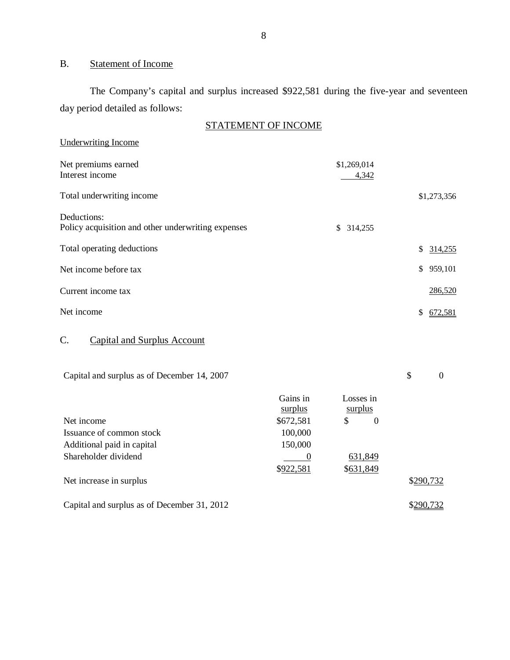## B. Statement of Income

The Company's capital and surplus increased \$922,581 during the five-year and seventeen day period detailed as follows:

| STATEMENT OF INCOME                                               |                      |               |  |
|-------------------------------------------------------------------|----------------------|---------------|--|
| <b>Underwriting Income</b>                                        |                      |               |  |
| Net premiums earned<br>Interest income                            | \$1,269,014<br>4,342 |               |  |
| Total underwriting income                                         |                      | \$1,273,356   |  |
| Deductions:<br>Policy acquisition and other underwriting expenses | \$<br>314,255        |               |  |
| Total operating deductions                                        |                      | \$<br>314,255 |  |
| Net income before tax                                             |                      | \$<br>959,101 |  |
| Current income tax                                                |                      | 286,520       |  |
| Net income                                                        |                      | \$<br>672,581 |  |
| C.<br><b>Capital and Surplus Account</b>                          |                      |               |  |

| Capital and surplus as of December 14, 2007 |  |  |
|---------------------------------------------|--|--|
|---------------------------------------------|--|--|

| Net income                                  | Gains in<br>surplus<br>\$672,581 | Losses in<br>surplus<br>\$<br>$\theta$ |           |
|---------------------------------------------|----------------------------------|----------------------------------------|-----------|
| Issuance of common stock                    | 100,000                          |                                        |           |
| Additional paid in capital                  | 150,000                          |                                        |           |
| Shareholder dividend                        |                                  | 631,849                                |           |
|                                             | \$922,581                        | \$631,849                              |           |
| Net increase in surplus                     |                                  |                                        | \$290,732 |
| Capital and surplus as of December 31, 2012 |                                  |                                        | \$290,732 |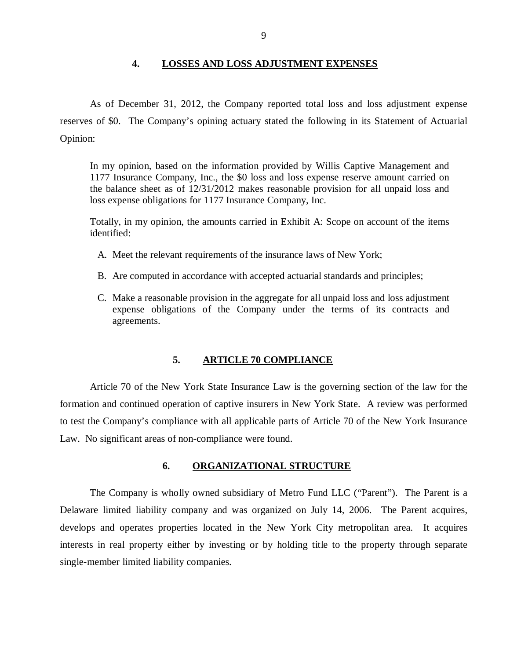#### **4. LOSSES AND LOSS ADJUSTMENT EXPENSES**

<span id="page-10-0"></span>As of December 31, 2012, the Company reported total loss and loss adjustment expense reserves of \$0. The Company's opining actuary stated the following in its Statement of Actuarial Opinion:

In my opinion, based on the information provided by Willis Captive Management and 1177 Insurance Company, Inc., the \$0 loss and loss expense reserve amount carried on the balance sheet as of 12/31/2012 makes reasonable provision for all unpaid loss and loss expense obligations for 1177 Insurance Company, Inc.

Totally, in my opinion, the amounts carried in Exhibit A: Scope on account of the items identified:

- A. Meet the relevant requirements of the insurance laws of New York;
- B. Are computed in accordance with accepted actuarial standards and principles;
- C. Make a reasonable provision in the aggregate for all unpaid loss and loss adjustment expense obligations of the Company under the terms of its contracts and agreements.

## **5. ARTICLE 70 COMPLIANCE**

Article 70 of the New York State Insurance Law is the governing section of the law for the formation and continued operation of captive insurers in New York State. A review was performed to test the Company's compliance with all applicable parts of Article 70 of the New York Insurance Law. No significant areas of non-compliance were found.

#### **6. ORGANIZATIONAL STRUCTURE**

The Company is wholly owned subsidiary of Metro Fund LLC ("Parent"). The Parent is a Delaware limited liability company and was organized on July 14, 2006. The Parent acquires, develops and operates properties located in the New York City metropolitan area. It acquires interests in real property either by investing or by holding title to the property through separate single-member limited liability companies.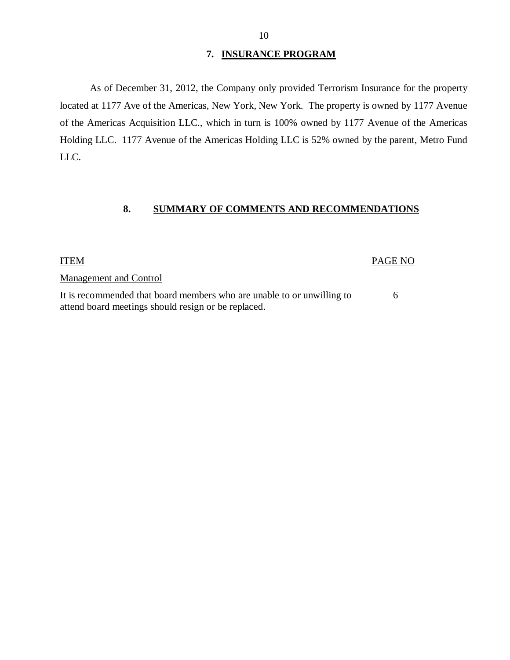#### **7. INSURANCE PROGRAM**

<span id="page-11-0"></span>As of December 31, 2012, the Company only provided Terrorism Insurance for the property located at 1177 Ave of the Americas, New York, New York. The property is owned by 1177 Avenue of the Americas Acquisition LLC., which in turn is 100% owned by 1177 Avenue of the Americas Holding LLC. 1177 Avenue of the Americas Holding LLC is 52% owned by the parent, Metro Fund LLC.

## **8. SUMMARY OF COMMENTS AND RECOMMENDATIONS**

#### ITEM PAGE NO

Management and Control

It is recommended that board members who are unable to or unwilling to 6 attend board meetings should resign or be replaced.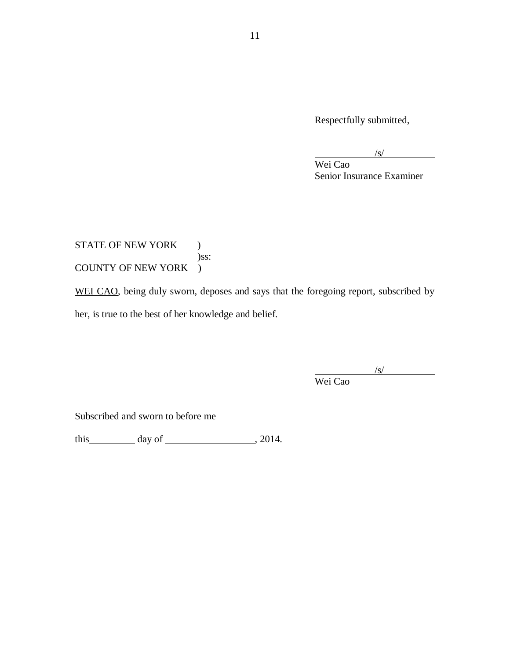Respectfully submitted,

 $\sqrt{s/2}$ 

Wei Cao Senior Insurance Examiner

STATE OF NEW YORK ) )ss: COUNTY OF NEW YORK )

WEI CAO, being duly sworn, deposes and says that the foregoing report, subscribed by her, is true to the best of her knowledge and belief.

 $\sqrt{s}$ /

Wei Cao

Subscribed and sworn to before me

this day of , 2014.